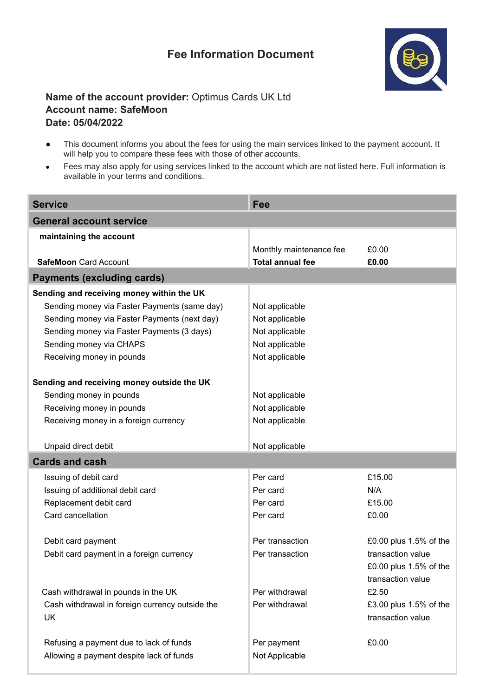## **Fee Information Document**



## **Name of the account provider:** Optimus Cards UK Ltd **Account name: SafeMoon Date: 05/04/2022**

- This document informs you about the fees for using the main services linked to the payment account. It will help you to compare these fees with those of other accounts.
- Fees may also apply for using services linked to the account which are not listed here. Full information is available in your terms and conditions.

| <b>Service</b>                                  | Fee                     |                        |  |
|-------------------------------------------------|-------------------------|------------------------|--|
| <b>General account service</b>                  |                         |                        |  |
| maintaining the account                         |                         |                        |  |
|                                                 | Monthly maintenance fee | £0.00                  |  |
| <b>SafeMoon Card Account</b>                    | <b>Total annual fee</b> | £0.00                  |  |
| <b>Payments (excluding cards)</b>               |                         |                        |  |
| Sending and receiving money within the UK       |                         |                        |  |
| Sending money via Faster Payments (same day)    | Not applicable          |                        |  |
| Sending money via Faster Payments (next day)    | Not applicable          |                        |  |
| Sending money via Faster Payments (3 days)      | Not applicable          |                        |  |
| Sending money via CHAPS                         | Not applicable          |                        |  |
| Receiving money in pounds                       | Not applicable          |                        |  |
| Sending and receiving money outside the UK      |                         |                        |  |
| Sending money in pounds                         | Not applicable          |                        |  |
| Receiving money in pounds                       | Not applicable          |                        |  |
| Receiving money in a foreign currency           | Not applicable          |                        |  |
|                                                 |                         |                        |  |
| Unpaid direct debit                             | Not applicable          |                        |  |
| <b>Cards and cash</b>                           |                         |                        |  |
| Issuing of debit card                           | Per card                | £15.00                 |  |
| Issuing of additional debit card                | Per card                | N/A                    |  |
| Replacement debit card                          | Per card                | £15.00                 |  |
| Card cancellation                               | Per card                | £0.00                  |  |
|                                                 |                         |                        |  |
| Debit card payment                              | Per transaction         | £0.00 plus 1.5% of the |  |
| Debit card payment in a foreign currency        | Per transaction         | transaction value      |  |
|                                                 |                         | £0.00 plus 1.5% of the |  |
|                                                 |                         | transaction value      |  |
| Cash withdrawal in pounds in the UK             | Per withdrawal          | £2.50                  |  |
| Cash withdrawal in foreign currency outside the | Per withdrawal          | £3.00 plus 1.5% of the |  |
| <b>UK</b>                                       |                         | transaction value      |  |
| Refusing a payment due to lack of funds         | Per payment             | £0.00                  |  |
| Allowing a payment despite lack of funds        | Not Applicable          |                        |  |
|                                                 |                         |                        |  |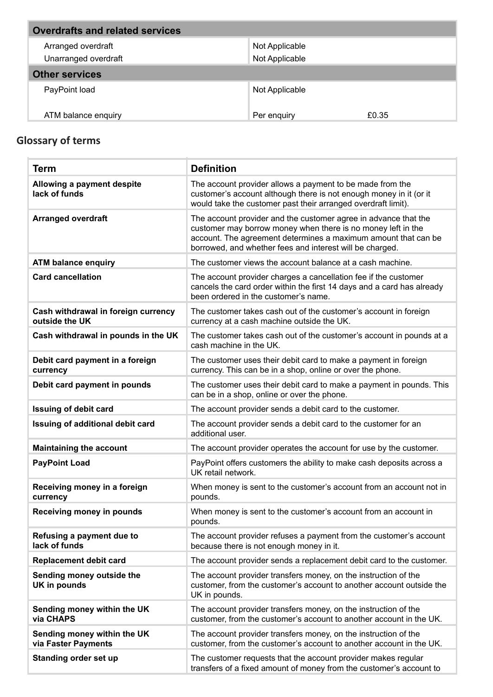| <b>Overdrafts and related services</b> |                |       |
|----------------------------------------|----------------|-------|
| Arranged overdraft                     | Not Applicable |       |
| Unarranged overdraft                   | Not Applicable |       |
| <b>Other services</b>                  |                |       |
| PayPoint load                          | Not Applicable |       |
| ATM balance enquiry                    | Per enquiry    | £0.35 |

## **Glossary of terms**

| <b>Term</b>                                           | <b>Definition</b>                                                                                                                                                                                                                                             |
|-------------------------------------------------------|---------------------------------------------------------------------------------------------------------------------------------------------------------------------------------------------------------------------------------------------------------------|
| Allowing a payment despite<br>lack of funds           | The account provider allows a payment to be made from the<br>customer's account although there is not enough money in it (or it<br>would take the customer past their arranged overdraft limit).                                                              |
| <b>Arranged overdraft</b>                             | The account provider and the customer agree in advance that the<br>customer may borrow money when there is no money left in the<br>account. The agreement determines a maximum amount that can be<br>borrowed, and whether fees and interest will be charged. |
| <b>ATM balance enquiry</b>                            | The customer views the account balance at a cash machine.                                                                                                                                                                                                     |
| <b>Card cancellation</b>                              | The account provider charges a cancellation fee if the customer<br>cancels the card order within the first 14 days and a card has already<br>been ordered in the customer's name.                                                                             |
| Cash withdrawal in foreign currency<br>outside the UK | The customer takes cash out of the customer's account in foreign<br>currency at a cash machine outside the UK.                                                                                                                                                |
| Cash withdrawal in pounds in the UK                   | The customer takes cash out of the customer's account in pounds at a<br>cash machine in the UK.                                                                                                                                                               |
| Debit card payment in a foreign<br>currency           | The customer uses their debit card to make a payment in foreign<br>currency. This can be in a shop, online or over the phone.                                                                                                                                 |
| Debit card payment in pounds                          | The customer uses their debit card to make a payment in pounds. This<br>can be in a shop, online or over the phone.                                                                                                                                           |
| <b>Issuing of debit card</b>                          | The account provider sends a debit card to the customer.                                                                                                                                                                                                      |
| Issuing of additional debit card                      | The account provider sends a debit card to the customer for an<br>additional user.                                                                                                                                                                            |
| <b>Maintaining the account</b>                        | The account provider operates the account for use by the customer.                                                                                                                                                                                            |
| <b>PayPoint Load</b>                                  | PayPoint offers customers the ability to make cash deposits across a<br>UK retail network.                                                                                                                                                                    |
| Receiving money in a foreign<br>currency              | When money is sent to the customer's account from an account not in<br>pounds.                                                                                                                                                                                |
| <b>Receiving money in pounds</b>                      | When money is sent to the customer's account from an account in<br>pounds.                                                                                                                                                                                    |
| Refusing a payment due to<br>lack of funds            | The account provider refuses a payment from the customer's account<br>because there is not enough money in it.                                                                                                                                                |
| <b>Replacement debit card</b>                         | The account provider sends a replacement debit card to the customer.                                                                                                                                                                                          |
| Sending money outside the<br>UK in pounds             | The account provider transfers money, on the instruction of the<br>customer, from the customer's account to another account outside the<br>UK in pounds.                                                                                                      |
| Sending money within the UK<br>via CHAPS              | The account provider transfers money, on the instruction of the<br>customer, from the customer's account to another account in the UK.                                                                                                                        |
| Sending money within the UK<br>via Faster Payments    | The account provider transfers money, on the instruction of the<br>customer, from the customer's account to another account in the UK.                                                                                                                        |
| Standing order set up                                 | The customer requests that the account provider makes regular<br>transfers of a fixed amount of money from the customer's account to                                                                                                                          |